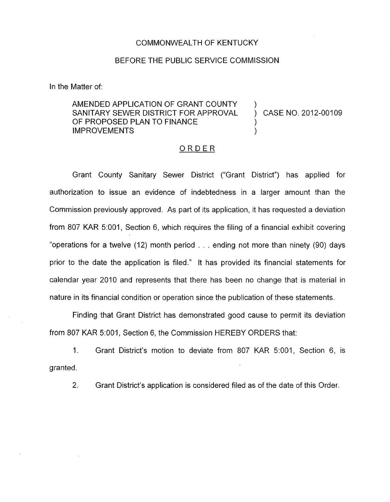## COMMONWEALTH OF KENTUCKY

## BEFORE THE PUBLIC SERVICE COMMISSION

In the Matter of:

## AMENDED APPLICATION OF GRANT COUNTY SANITARY SEWER DISTRICT FOR APPROVAL OF PROPOSED PLAN TO FINANCE **IMPROVEMENTS**

CASE NO. 2012-00109

## ORDER

Grant County Sanitary Sewer District ("Grant District") has applied for authorization to issue an evidence of indebtedness in a larger amount than the Commission previously approved. As part of its application, it has requested a deviation from 807 KAR 5:001, Section 6, which requires the filing of a financial exhibit covering "operations for a twelve (12) month period . **I** . ending not more than ninety (90) days prior to the date the application is filed." It has provided its financial statements for calendar year 2010 and represents that there has been no change that is material in nature in its financial condition or operation since the publication of these statements.

Finding that Grant District has demonstrated good cause to permit its deviation from 807 KAR 5:001, Section 6, the Commission HEREBY ORDERS that:

1. Grant District's motion to deviate from 807 KAR 5:001, Section 6, is granted.

2. Grant District's application is considered filed as of the date of this Order.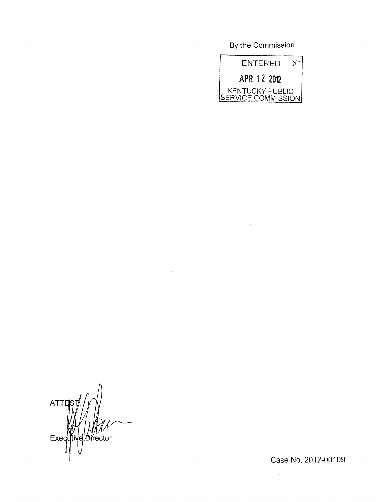By the Commission



 $\mathcal{A}$ 

ATTES Executive Director

Case No. 2012-00109

 $\bar{\mathcal{A}}$ 

 $\bar{\phantom{a}}$